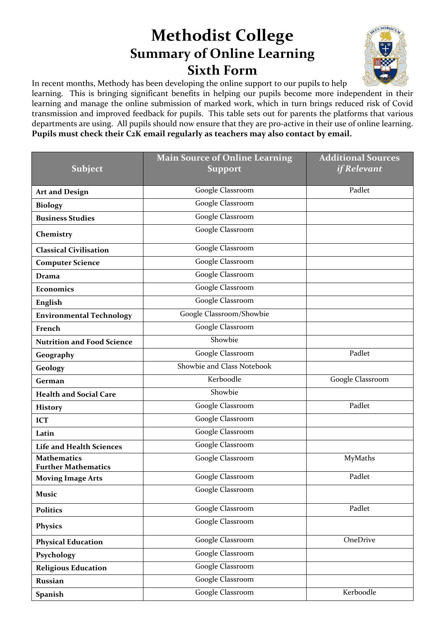## **Methodist College Summary of Online Learning Sixth Form**



In recent months, Methody has been developing the online support to our pupils to help

learning. This is bringing significant benefits in helping our pupils become more independent in their learning and manage the online submission of marked work, which in turn brings reduced risk of Covid transmission and improved feedback for pupils. This table sets out for parents the platforms that various departments are using. All pupils should now ensure that they are pro-active in their use of online learning. **Pupils must check their C2K email regularly as teachers may also contact by email.**

|                                                  | <b>Main Source of Online Learning</b> | <b>Additional Sources</b> |
|--------------------------------------------------|---------------------------------------|---------------------------|
| Subject                                          | <b>Support</b>                        | <i>if Relevant</i>        |
|                                                  |                                       | Padlet                    |
| <b>Art and Design</b>                            | Google Classroom                      |                           |
| <b>Biology</b>                                   | Google Classroom                      |                           |
| <b>Business Studies</b>                          | Google Classroom                      |                           |
| Chemistry                                        | Google Classroom                      |                           |
| <b>Classical Civilisation</b>                    | Google Classroom                      |                           |
| <b>Computer Science</b>                          | Google Classroom                      |                           |
| <b>Drama</b>                                     | Google Classroom                      |                           |
| Economics                                        | Google Classroom                      |                           |
| English                                          | Google Classroom                      |                           |
| <b>Environmental Technology</b>                  | Google Classroom/Showbie              |                           |
| French                                           | Google Classroom                      |                           |
| <b>Nutrition and Food Science</b>                | Showbie                               |                           |
| Geography                                        | Google Classroom                      | Padlet                    |
| Geology                                          | Showbie and Class Notebook            |                           |
| German                                           | Kerboodle                             | Google Classroom          |
| <b>Health and Social Care</b>                    | Showbie                               |                           |
| <b>History</b>                                   | Google Classroom                      | Padlet                    |
| <b>ICT</b>                                       | Google Classroom                      |                           |
| Latin                                            | Google Classroom                      |                           |
| <b>Life and Health Sciences</b>                  | <b>Google Classroom</b>               |                           |
| <b>Mathematics</b><br><b>Further Mathematics</b> | Google Classroom                      | MyMaths                   |
| <b>Moving Image Arts</b>                         | Google Classroom                      | Padlet                    |
| Music                                            | Google Classroom                      |                           |
| <b>Politics</b>                                  | Google Classroom                      | Padlet                    |
| <b>Physics</b>                                   | Google Classroom                      |                           |
| <b>Physical Education</b>                        | Google Classroom                      | OneDrive                  |
| Psychology                                       | Google Classroom                      |                           |
| <b>Religious Education</b>                       | Google Classroom                      |                           |
| <b>Russian</b>                                   | Google Classroom                      |                           |
| <b>Spanish</b>                                   | Google Classroom                      | Kerboodle                 |